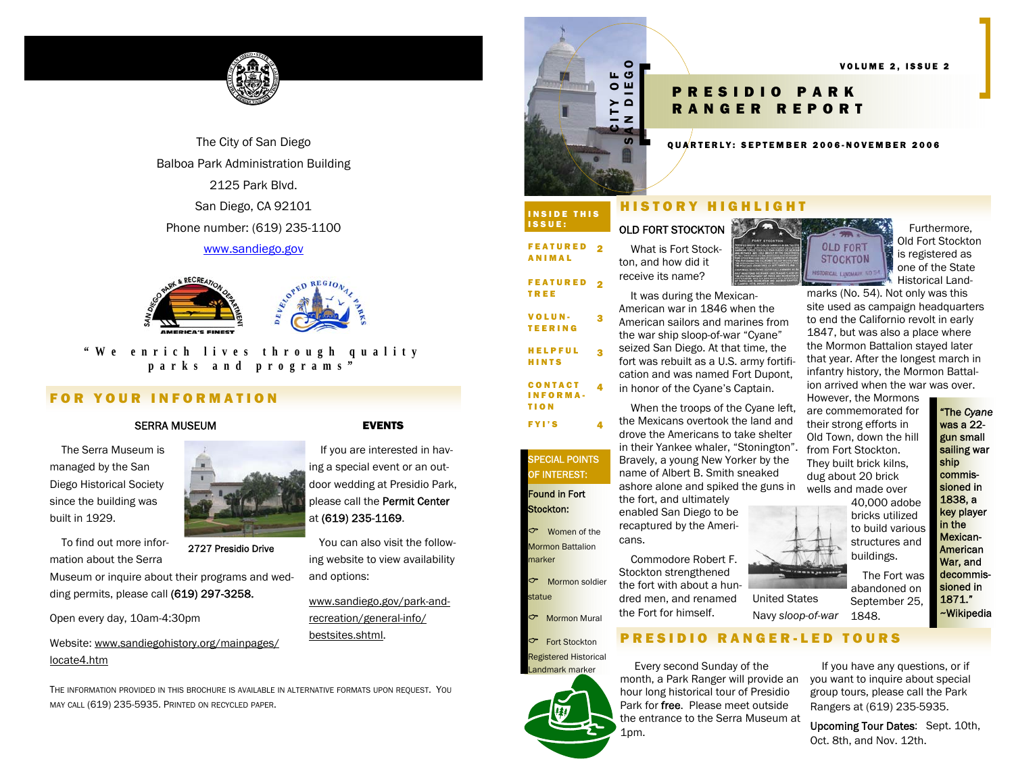

The City of San Diego Balboa Park Administration Building 2125 Park Blvd. San Diego, CA 92101 Phone number: (619) 235-1100

## www.sandiego.gov



# **"We enrich lives through quality parks and programs"**

# FOR YOUR INFORMATION

### SERRA MUSEUM

 The Serra Museum is managed by the San Diego Historical Society since the building was built in 1929.

 To find out more information about the Serra

Museum or inquire about their programs and wedding permits, please call (619) 297-3258.

Open every day, 10am-4:30pm

Website: www.sandiegohistory.org/mainpages/ locate4.htm

THE INFORMATION PROVIDED IN THIS BROCHURE IS AVAILABLE IN ALTERNATIVE FORMATS UPON REQUEST. YOU MAY CALL (619) 235-5935. PRINTED ON RECYCLED PAPER.

2727 Presidio Drive

### EVENTS

 If you are interested in having a special event or an outdoor wedding at Presidio Park, please call the Permit Center at (619) 235-1169.

You can also visit the following website to view availability and options:

www.sandiego.gov/park-andrecreation/general-info/ bestsites.shtml.

# CITY OF

# INSIDE THIS ISSUE:

FEATURED 2 ANIMAL

FEATURED 2

TREE VOLUN-VOLUN-3<br>Teering

HELPFUL HINTS

CONTACT INFORMA-TION

FYI'S 4

**PECIAL POINTS** OF INTEREST:

 $\ddot{\mathbf{z}}$ 

4

 What is Fort Stockton, and how did it receive its name?

 It was during the Mexican-American war in 1846 when the American sailors and marines from the war ship sloop-of-war "Cyane" seized San Diego. At that time, the fort was rebuilt as a U.S. army fortification and was named Fort Dupont, in honor of the Cyane's Captain.

 When the troops of the Cyane left, the Mexicans overtook the land and drove the Americans to take shelter in their Yankee whaler, "Stonington". Bravely, a young New Yorker by the name of Albert B. Smith sneaked ashore alone and spiked the guns in the fort, and ultimately

enabled San Diego to be recaptured by the Ameri-

 Commodore Robert F. Stockton strengthened the fort with about a hundred men, and renamed the Fort for himself.

PRESIDIO RANGER-LED TOURS

 Every second Sunday of the month, a Park Ranger will provide an hour long historical tour of Presidio Park for free. Please meet outside the entrance to the Serra Museum at 1pm.

# SAN DIEGO DIEGO DIE COLUME 2, ISSUE<br>SANGER REPORT<br>E QUARTERLY: SEPTEMBER 2006-NOVEMBER 2006

### HISTORY HIGHLIGHT

# OLD FORT STOCKTON



 Furthermore, Old Fort Stockton is registered as one of the State Historical Land-

> "The *Cyane* was a 22 gun small sailing war ship commissioned in 1838, a key player in the Mexican-American War, and decommissioned in 1871." ~Wikipedia

marks (No. 54). Not only was this site used as campaign headquarters to end the Californio revolt in early 1847, but was also a place where the Mormon Battalion stayed later that year. After the longest march in infantry history, the Mormon Battalion arrived when the war was over.

VOLUME 2, ISSUE 2

However, the Mormons are commemorated for their strong efforts in Old Town, down the hill from Fort Stockton. They built brick kilns, dug about 20 brick wells and made over

40,000 adobe bricks utilized to build various structures and buildings.

 The Fort was abandoned on September 25,

1848. Navy *sloop-of-war* 

> If you have any questions, or if you want to inquire about special group tours, please call the Park Rangers at (619) 235-5935.

Upcoming Tour Dates: Sept. 10th, Oct. 8th, and Nov. 12th.













Mormon Battalion marker  $\tau$ Mormon soldier

Found in Fort Stockton:

 $\tau$ 

statue

**Mormon Mural Fort Stockton**